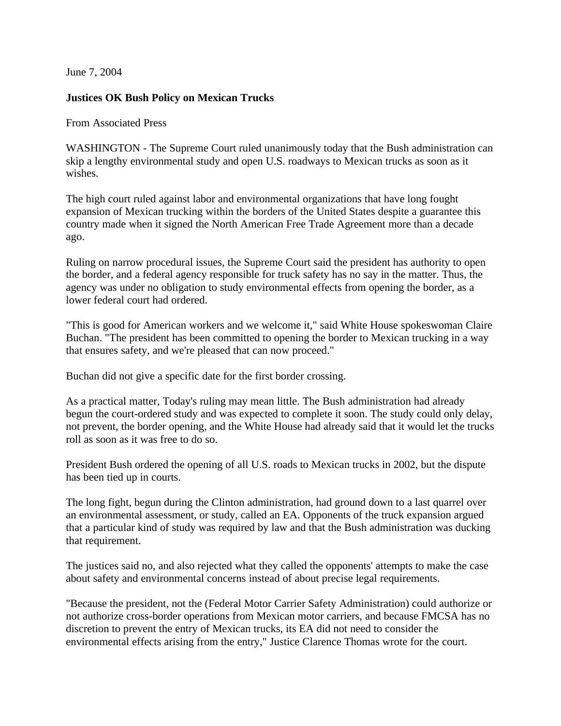June 7, 2004

## **Justices OK Bush Policy on Mexican Trucks**

From Associated Press

WASHINGTON - The Supreme Court ruled unanimously today that the Bush administration can skip a lengthy environmental study and open U.S. roadways to Mexican trucks as soon as it wishes.

The high court ruled against labor and environmental organizations that have long fought expansion of Mexican trucking within the borders of the United States despite a guarantee this country made when it signed the North American Free Trade Agreement more than a decade ago.

Ruling on narrow procedural issues, the Supreme Court said the president has authority to open the border, and a federal agency responsible for truck safety has no say in the matter. Thus, the agency was under no obligation to study environmental effects from opening the border, as a lower federal court had ordered.

"This is good for American workers and we welcome it," said White House spokeswoman Claire Buchan. "The president has been committed to opening the border to Mexican trucking in a way that ensures safety, and we're pleased that can now proceed."

Buchan did not give a specific date for the first border crossing.

As a practical matter, Today's ruling may mean little. The Bush administration had already begun the court-ordered study and was expected to complete it soon. The study could only delay, not prevent, the border opening, and the White House had already said that it would let the trucks roll as soon as it was free to do so.

President Bush ordered the opening of all U.S. roads to Mexican trucks in 2002, but the dispute has been tied up in courts.

The long fight, begun during the Clinton administration, had ground down to a last quarrel over an environmental assessment, or study, called an EA. Opponents of the truck expansion argued that a particular kind of study was required by law and that the Bush administration was ducking that requirement.

The justices said no, and also rejected what they called the opponents' attempts to make the case about safety and environmental concerns instead of about precise legal requirements.

"Because the president, not the (Federal Motor Carrier Safety Administration) could authorize or not authorize cross-border operations from Mexican motor carriers, and because FMCSA has no discretion to prevent the entry of Mexican trucks, its EA did not need to consider the environmental effects arising from the entry," Justice Clarence Thomas wrote for the court.